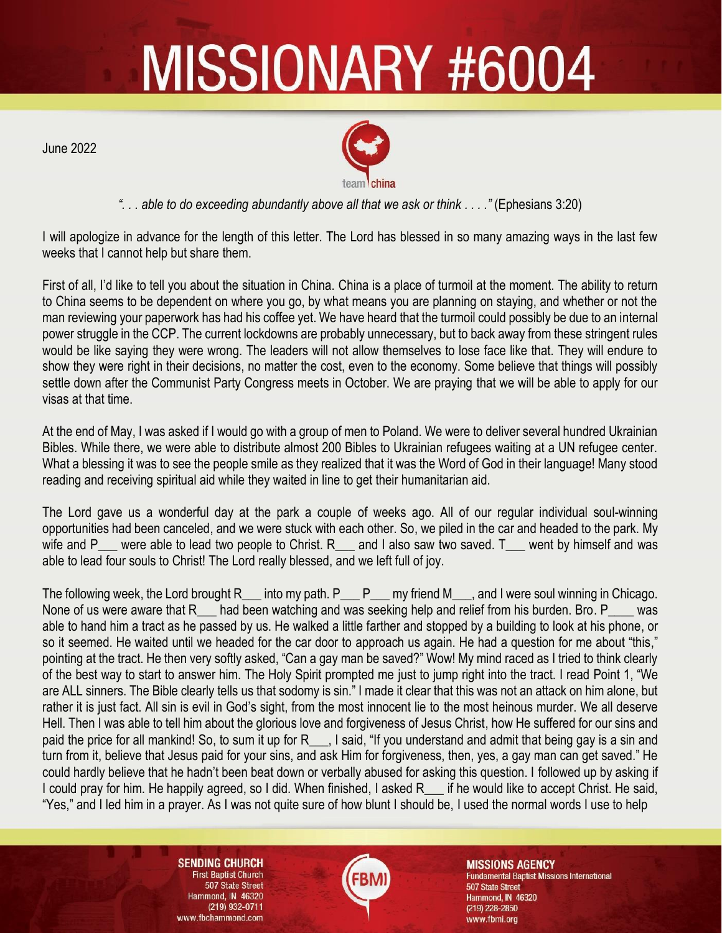## MISSIONARY #6004

June 2022



*". . . able to do exceeding abundantly above all that we ask or think . . . ."* (Ephesians 3:20)

I will apologize in advance for the length of this letter. The Lord has blessed in so many amazing ways in the last few weeks that I cannot help but share them.

First of all, I'd like to tell you about the situation in China. China is a place of turmoil at the moment. The ability to return to China seems to be dependent on where you go, by what means you are planning on staying, and whether or not the man reviewing your paperwork has had his coffee yet. We have heard that the turmoil could possibly be due to an internal power struggle in the CCP. The current lockdowns are probably unnecessary, but to back away from these stringent rules would be like saying they were wrong. The leaders will not allow themselves to lose face like that. They will endure to show they were right in their decisions, no matter the cost, even to the economy. Some believe that things will possibly settle down after the Communist Party Congress meets in October. We are praying that we will be able to apply for our visas at that time.

At the end of May, I was asked if I would go with a group of men to Poland. We were to deliver several hundred Ukrainian Bibles. While there, we were able to distribute almost 200 Bibles to Ukrainian refugees waiting at a UN refugee center. What a blessing it was to see the people smile as they realized that it was the Word of God in their language! Many stood reading and receiving spiritual aid while they waited in line to get their humanitarian aid.

The Lord gave us a wonderful day at the park a couple of weeks ago. All of our regular individual soul-winning opportunities had been canceled, and we were stuck with each other. So, we piled in the car and headed to the park. My wife and P — were able to lead two people to Christ. R — and I also saw two saved. T — went by himself and was able to lead four souls to Christ! The Lord really blessed, and we left full of joy.

The following week, the Lord brought  $R_$  into my path.  $P_$   $P_$  my friend M<sub>\_\_\_</sub>, and I were soul winning in Chicago. None of us were aware that R had been watching and was seeking help and relief from his burden. Bro. P was able to hand him a tract as he passed by us. He walked a little farther and stopped by a building to look at his phone, or so it seemed. He waited until we headed for the car door to approach us again. He had a question for me about "this," pointing at the tract. He then very softly asked, "Can a gay man be saved?" Wow! My mind raced as I tried to think clearly of the best way to start to answer him. The Holy Spirit prompted me just to jump right into the tract. I read Point 1, "We are ALL sinners. The Bible clearly tells us that sodomy is sin." I made it clear that this was not an attack on him alone, but rather it is just fact. All sin is evil in God's sight, from the most innocent lie to the most heinous murder. We all deserve Hell. Then I was able to tell him about the glorious love and forgiveness of Jesus Christ, how He suffered for our sins and paid the price for all mankind! So, to sum it up for R\_\_\_, I said, "If you understand and admit that being gay is a sin and turn from it, believe that Jesus paid for your sins, and ask Him for forgiveness, then, yes, a gay man can get saved." He could hardly believe that he hadn't been beat down or verbally abused for asking this question. I followed up by asking if I could pray for him. He happily agreed, so I did. When finished, I asked R\_\_\_ if he would like to accept Christ. He said, "Yes," and I led him in a prayer. As I was not quite sure of how blunt I should be, I used the normal words I use to help

> **SENDING CHURCH First Baptist Church** 507 State Street Hammond, IN 46320 (219) 932-0711 www.fbchammond.com

**MISSIONS AGENCY Fundamental Baptist Missions International** 507 State Street Hammond, IN 46320 (219) 228-2850 www.fbmi.org